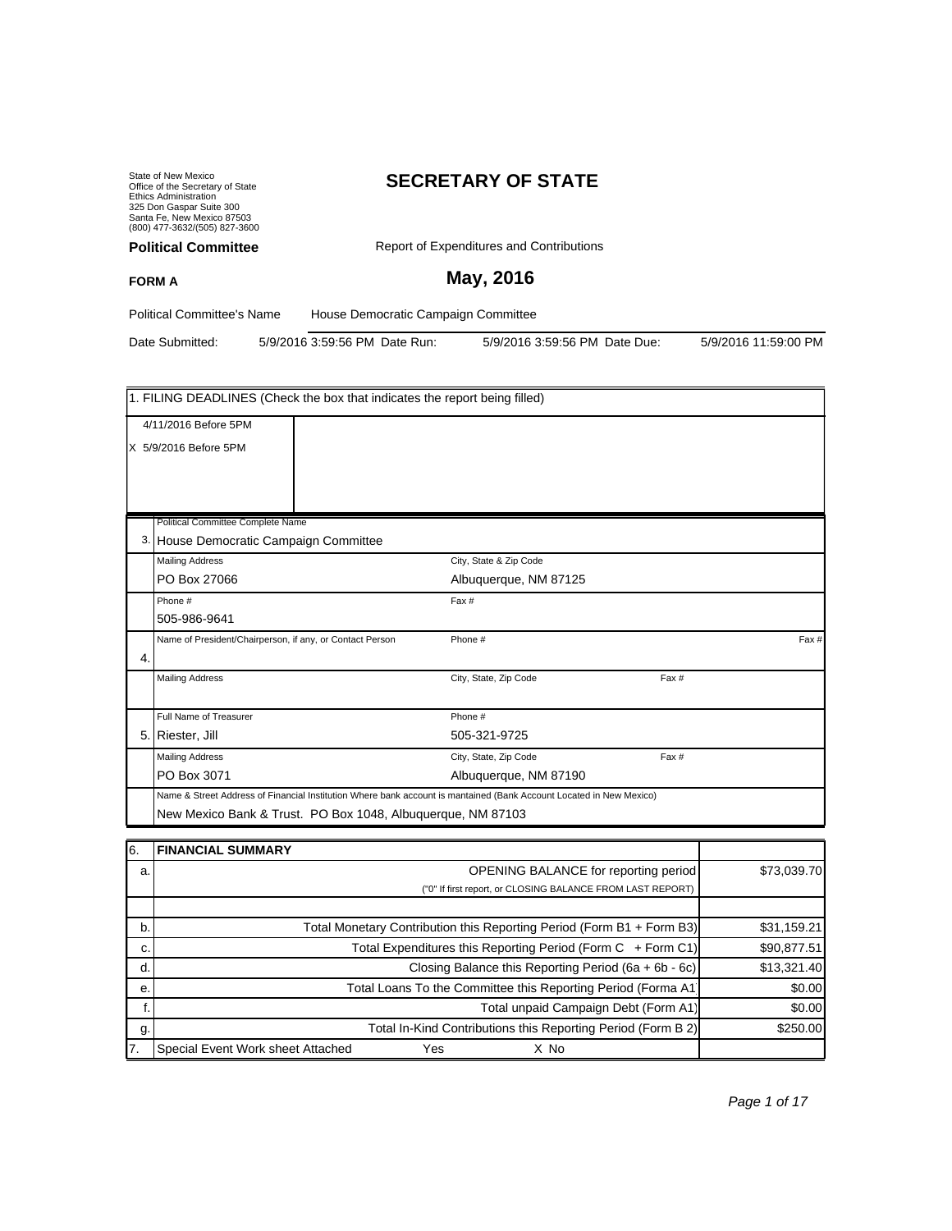State of New Mexico Office of the Secretary of State Ethics Administration 325 Don Gaspar Suite 300 Santa Fe, New Mexico 87503 (800) 477-3632/(505) 827-3600

# **SECRETARY OF STATE**

| <b>Political Committee</b>        | Report of Expenditures and Contributions |  |
|-----------------------------------|------------------------------------------|--|
| <b>FORM A</b>                     | May, 2016                                |  |
| <b>Political Committee's Name</b> | House Democratic Campaign Committee      |  |

Date Submitted: 5/9/2016 3:59:56 PM Date Run: 5/9/2016 3:59:56 PM Date Due: 5/9/2016 11:59:00 PM

|    | 1. FILING DEADLINES (Check the box that indicates the report being filled)                                                                                                         |  |                        |       |       |
|----|------------------------------------------------------------------------------------------------------------------------------------------------------------------------------------|--|------------------------|-------|-------|
|    | 4/11/2016 Before 5PM<br>X 5/9/2016 Before 5PM                                                                                                                                      |  |                        |       |       |
|    | Political Committee Complete Name                                                                                                                                                  |  |                        |       |       |
|    | 3. House Democratic Campaign Committee                                                                                                                                             |  |                        |       |       |
|    | <b>Mailing Address</b>                                                                                                                                                             |  | City, State & Zip Code |       |       |
|    | PO Box 27066                                                                                                                                                                       |  | Albuquerque, NM 87125  |       |       |
|    | Phone #                                                                                                                                                                            |  | Fax #                  |       |       |
|    | 505-986-9641                                                                                                                                                                       |  |                        |       |       |
| 4. | Name of President/Chairperson, if any, or Contact Person                                                                                                                           |  | Phone #                |       | Fax # |
|    | <b>Mailing Address</b>                                                                                                                                                             |  | City, State, Zip Code  | Fax # |       |
|    | Full Name of Treasurer                                                                                                                                                             |  | Phone #                |       |       |
|    | 5. Riester, Jill                                                                                                                                                                   |  | 505-321-9725           |       |       |
|    | <b>Mailing Address</b>                                                                                                                                                             |  | City, State, Zip Code  | Fax # |       |
|    | PO Box 3071                                                                                                                                                                        |  | Albuquerque, NM 87190  |       |       |
|    | Name & Street Address of Financial Institution Where bank account is mantained (Bank Account Located in New Mexico)<br>New Mexico Bank & Trust. PO Box 1048, Albuquerque, NM 87103 |  |                        |       |       |

| 16. | <b>FINANCIAL SUMMARY</b>                                              |             |
|-----|-----------------------------------------------------------------------|-------------|
| a.  | OPENING BALANCE for reporting period                                  | \$73,039.70 |
|     | ("0" If first report, or CLOSING BALANCE FROM LAST REPORT)            |             |
|     |                                                                       |             |
| b.  | Total Monetary Contribution this Reporting Period (Form B1 + Form B3) | \$31,159.21 |
| c.  | Total Expenditures this Reporting Period (Form C + Form C1)           | \$90,877.51 |
| d.  | Closing Balance this Reporting Period $(6a + 6b - 6c)$                | \$13,321.40 |
| е.  | Total Loans To the Committee this Reporting Period (Forma A1          | \$0.00      |
|     | Total unpaid Campaign Debt (Form A1)                                  | \$0.00      |
| g.  | Total In-Kind Contributions this Reporting Period (Form B 2)          | \$250.00    |
| 17. | Special Event Work sheet Attached<br>Yes<br>X No                      |             |

Page 1 of 17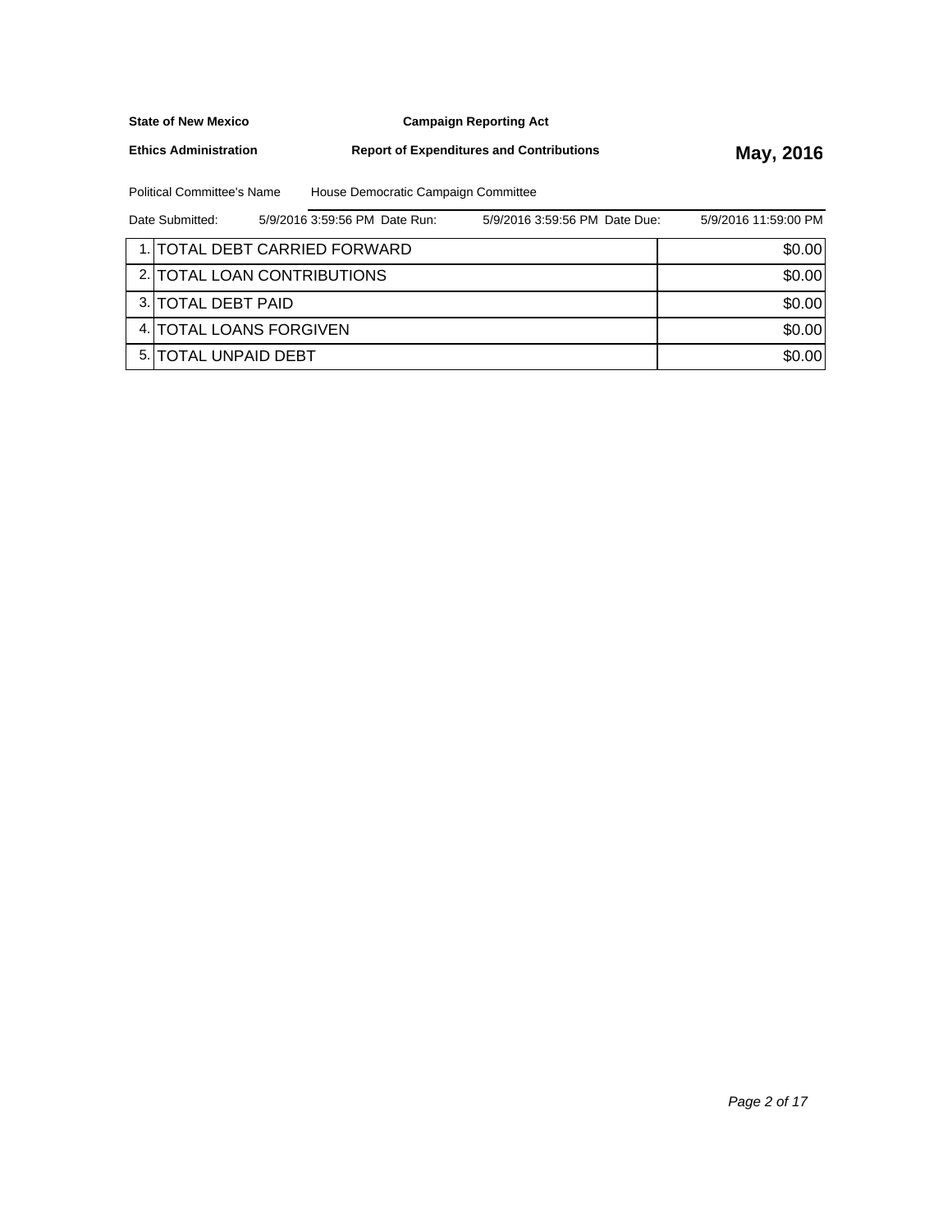**Campaign Reporting Act**

**Ethics Administration**

**Report of Expenditures and Contributions May, 2016** 

Political Committee's Name House Democratic Campaign Committee

| Date Submitted:               | 5/9/2016 3:59:56 PM Date Run: | 5/9/2016 3:59:56 PM Date Due: | 5/9/2016 11:59:00 PM |
|-------------------------------|-------------------------------|-------------------------------|----------------------|
| 1. TOTAL DEBT CARRIED FORWARD |                               |                               | \$0.00               |
| 2. TOTAL LOAN CONTRIBUTIONS   |                               |                               | \$0.00               |
| 3. TOTAL DEBT PAID            |                               |                               | \$0.00               |
| 4. TOTAL LOANS FORGIVEN       |                               |                               | \$0.00               |
| <b>5. ITOTAL UNPAID DEBT</b>  |                               |                               | \$0.00               |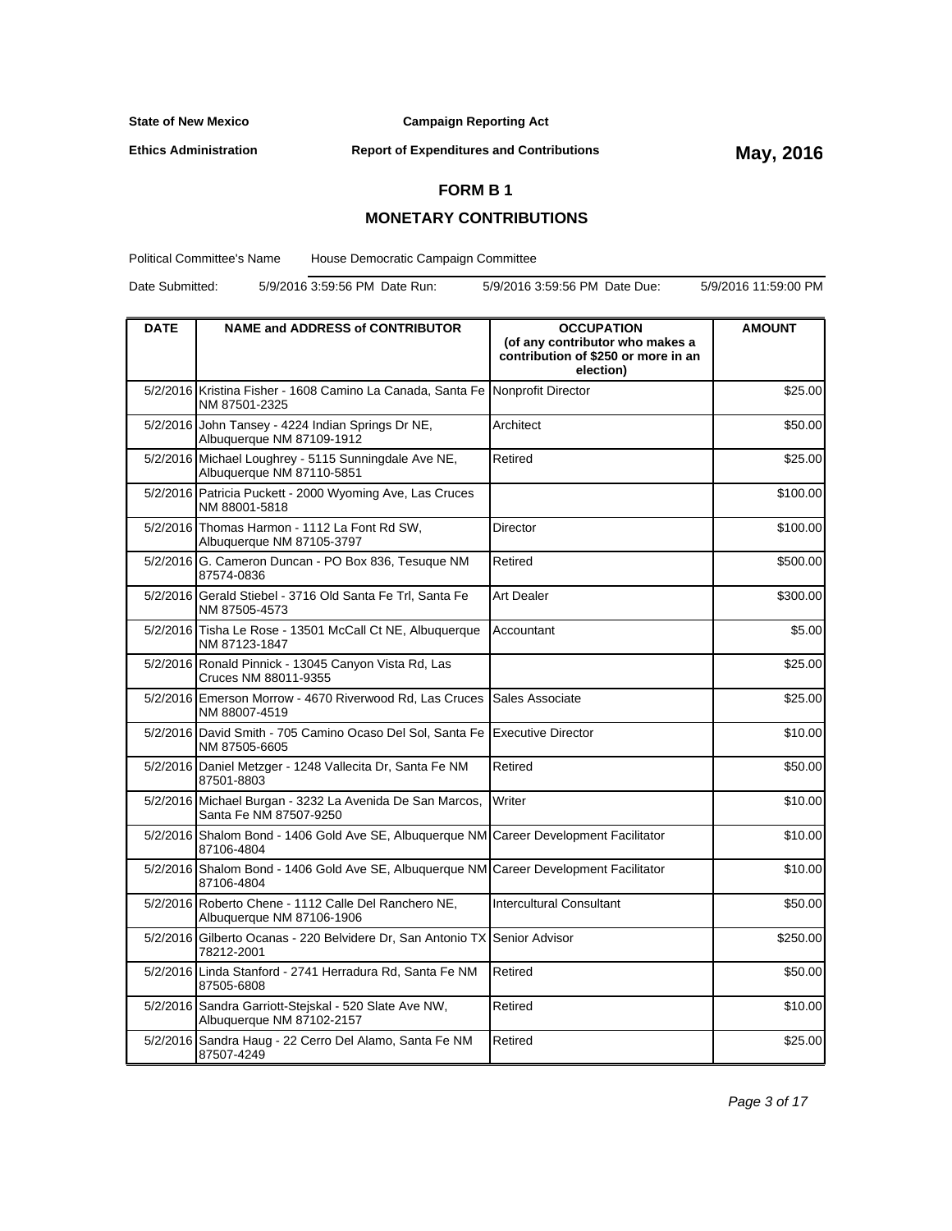**Campaign Reporting Act**

**Ethics Administration**

**Report of Expenditures and Contributions May, 2016**

### **FORM B 1**

### **MONETARY CONTRIBUTIONS**

Political Committee's Name House Democratic Campaign Committee

Date Submitted: 5/9/2016 3:59:56 PM Date Run: 5/9/2016 3:59:56 PM Date Due: 5/9/2016 11:59:00 PM

| <b>DATE</b> | <b>NAME and ADDRESS of CONTRIBUTOR</b>                                                         | <b>OCCUPATION</b><br>(of any contributor who makes a | <b>AMOUNT</b> |
|-------------|------------------------------------------------------------------------------------------------|------------------------------------------------------|---------------|
|             |                                                                                                | contribution of \$250 or more in an<br>election)     |               |
|             | 5/2/2016 Kristina Fisher - 1608 Camino La Canada, Santa Fe Nonprofit Director<br>NM 87501-2325 |                                                      | \$25.00       |
|             | 5/2/2016 John Tansey - 4224 Indian Springs Dr NE,<br>Albuquerque NM 87109-1912                 | Architect                                            | \$50.00       |
|             | 5/2/2016 Michael Loughrey - 5115 Sunningdale Ave NE,<br>Albuquerque NM 87110-5851              | Retired                                              | \$25.00       |
|             | 5/2/2016 Patricia Puckett - 2000 Wyoming Ave, Las Cruces<br>NM 88001-5818                      |                                                      | \$100.00      |
|             | 5/2/2016 Thomas Harmon - 1112 La Font Rd SW,<br>Albuquerque NM 87105-3797                      | Director                                             | \$100.00      |
|             | 5/2/2016 G. Cameron Duncan - PO Box 836, Tesuque NM<br>87574-0836                              | Retired                                              | \$500.00      |
|             | 5/2/2016 Gerald Stiebel - 3716 Old Santa Fe Trl, Santa Fe<br>NM 87505-4573                     | Art Dealer                                           | \$300.00      |
|             | 5/2/2016 Tisha Le Rose - 13501 McCall Ct NE, Albuquerque<br>NM 87123-1847                      | Accountant                                           | \$5.00        |
|             | 5/2/2016 Ronald Pinnick - 13045 Canyon Vista Rd, Las<br>Cruces NM 88011-9355                   |                                                      | \$25.00       |
|             | 5/2/2016 Emerson Morrow - 4670 Riverwood Rd, Las Cruces<br>NM 88007-4519                       | Sales Associate                                      | \$25.00       |
|             | 5/2/2016 David Smith - 705 Camino Ocaso Del Sol, Santa Fe<br>NM 87505-6605                     | Executive Director                                   | \$10.00       |
|             | 5/2/2016 Daniel Metzger - 1248 Vallecita Dr, Santa Fe NM<br>87501-8803                         | Retired                                              | \$50.00       |
|             | 5/2/2016 Michael Burgan - 3232 La Avenida De San Marcos,<br>Santa Fe NM 87507-9250             | Writer                                               | \$10.00       |
|             | 5/2/2016 Shalom Bond - 1406 Gold Ave SE, Albuquerque NM<br>87106-4804                          | <b>Career Development Facilitator</b>                | \$10.00       |
|             | 5/2/2016 Shalom Bond - 1406 Gold Ave SE, Albuquerque NM<br>87106-4804                          | Career Development Facilitator                       | \$10.00       |
|             | 5/2/2016 Roberto Chene - 1112 Calle Del Ranchero NE,<br>Albuquerque NM 87106-1906              | <b>Intercultural Consultant</b>                      | \$50.00       |
|             | 5/2/2016 Gilberto Ocanas - 220 Belvidere Dr. San Antonio TX<br>78212-2001                      | Senior Advisor                                       | \$250.00      |
|             | 5/2/2016 Linda Stanford - 2741 Herradura Rd, Santa Fe NM<br>87505-6808                         | Retired                                              | \$50.00       |
|             | 5/2/2016 Sandra Garriott-Stejskal - 520 Slate Ave NW,<br>Albuquerque NM 87102-2157             | Retired                                              | \$10.00       |
|             | 5/2/2016 Sandra Haug - 22 Cerro Del Alamo, Santa Fe NM<br>87507-4249                           | Retired                                              | \$25.00       |

Page 3 of 17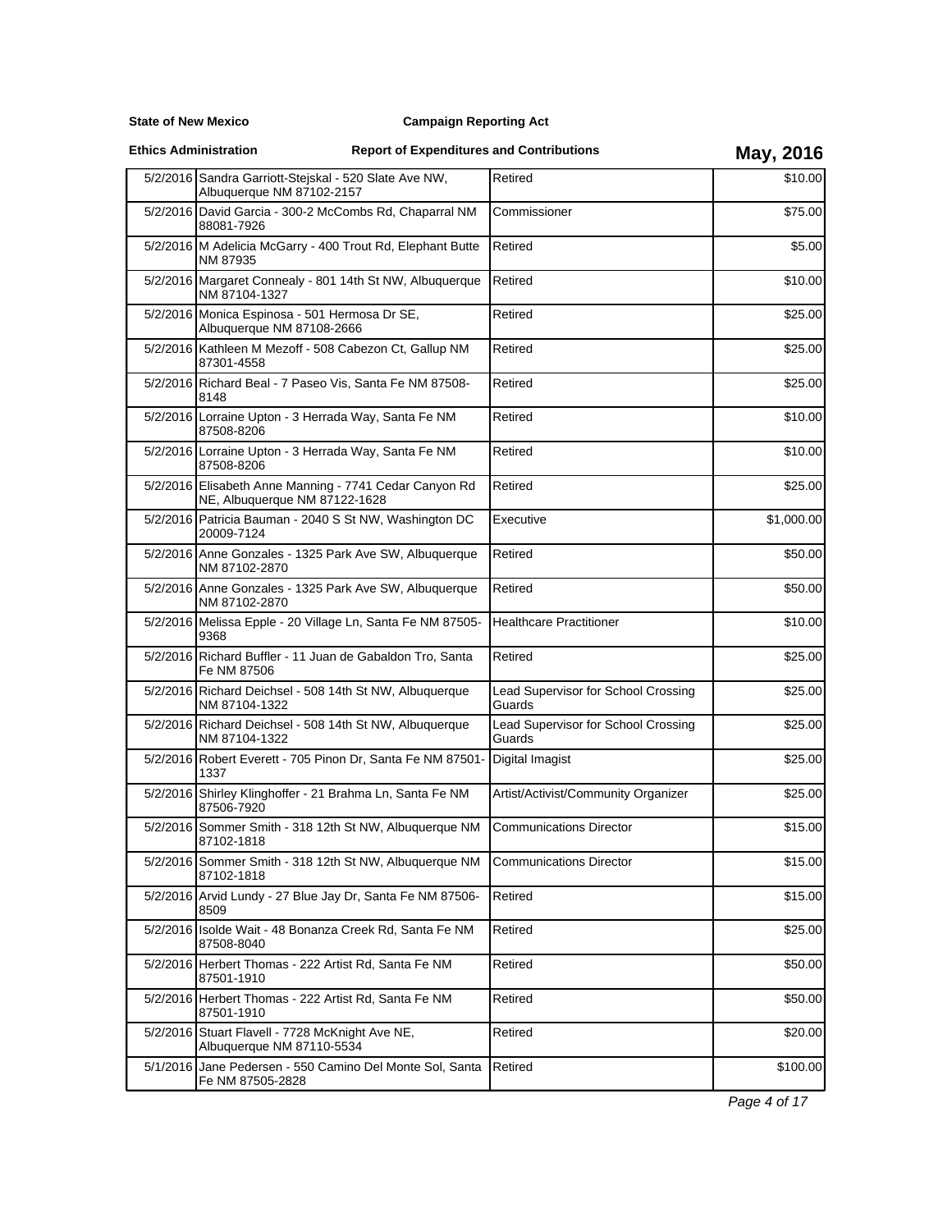**State of New Mexico**

**Ethics Administration**

# **Report of Expenditures and Contributions May, 2016**

|          | 5/2/2016 Sandra Garriott-Stejskal - 520 Slate Ave NW,<br>Albuquerque NM 87102-2157           | Retired                                       | \$10.00    |
|----------|----------------------------------------------------------------------------------------------|-----------------------------------------------|------------|
|          | 5/2/2016 David Garcia - 300-2 McCombs Rd, Chaparral NM<br>88081-7926                         | Commissioner                                  | \$75.00    |
|          | 5/2/2016 M Adelicia McGarry - 400 Trout Rd, Elephant Butte<br>NM 87935                       | Retired                                       | \$5.00     |
|          | 5/2/2016 Margaret Connealy - 801 14th St NW, Albuquerque<br>NM 87104-1327                    | Retired                                       | \$10.00    |
|          | 5/2/2016 Monica Espinosa - 501 Hermosa Dr SE,<br>Albuquerque NM 87108-2666                   | Retired                                       | \$25.00    |
|          | 5/2/2016 Kathleen M Mezoff - 508 Cabezon Ct, Gallup NM<br>87301-4558                         | Retired                                       | \$25.00    |
|          | 5/2/2016 Richard Beal - 7 Paseo Vis, Santa Fe NM 87508-<br>8148                              | Retired                                       | \$25.00    |
|          | 5/2/2016 Lorraine Upton - 3 Herrada Way, Santa Fe NM<br>87508-8206                           | Retired                                       | \$10.00    |
|          | 5/2/2016 Lorraine Upton - 3 Herrada Way, Santa Fe NM<br>87508-8206                           | Retired                                       | \$10.00    |
|          | 5/2/2016 Elisabeth Anne Manning - 7741 Cedar Canyon Rd<br>NE, Albuquerque NM 87122-1628      | Retired                                       | \$25.00    |
|          | 5/2/2016 Patricia Bauman - 2040 S St NW, Washington DC<br>20009-7124                         | Executive                                     | \$1,000.00 |
|          | 5/2/2016 Anne Gonzales - 1325 Park Ave SW, Albuquerque<br>NM 87102-2870                      | Retired                                       | \$50.00    |
|          | 5/2/2016 Anne Gonzales - 1325 Park Ave SW, Albuquerque<br>NM 87102-2870                      | Retired                                       | \$50.00    |
|          | 5/2/2016 Melissa Epple - 20 Village Ln, Santa Fe NM 87505-<br>9368                           | <b>Healthcare Practitioner</b>                | \$10.00    |
|          | 5/2/2016 Richard Buffler - 11 Juan de Gabaldon Tro, Santa<br>Fe NM 87506                     | Retired                                       | \$25.00    |
|          | 5/2/2016 Richard Deichsel - 508 14th St NW, Albuquerque<br>NM 87104-1322                     | Lead Supervisor for School Crossing<br>Guards | \$25.00    |
|          | 5/2/2016 Richard Deichsel - 508 14th St NW, Albuquerque<br>NM 87104-1322                     | Lead Supervisor for School Crossing<br>Guards | \$25.00    |
|          | 5/2/2016 Robert Everett - 705 Pinon Dr, Santa Fe NM 87501-<br>1337                           | Digital Imagist                               | \$25.00    |
|          | 5/2/2016 Shirley Klinghoffer - 21 Brahma Ln, Santa Fe NM<br>87506-7920                       | Artist/Activist/Community Organizer           | \$25.00    |
|          | 5/2/2016 Sommer Smith - 318 12th St NW, Albuquerque NM<br>87102-1818                         | <b>Communications Director</b>                | \$15.00    |
|          | 5/2/2016 Sommer Smith - 318 12th St NW, Albuquerque NM Communications Director<br>87102-1818 |                                               | \$15.00    |
|          | 5/2/2016 Arvid Lundy - 27 Blue Jay Dr, Santa Fe NM 87506-<br>8509                            | Retired                                       | \$15.00    |
| 5/2/2016 | Isolde Wait - 48 Bonanza Creek Rd, Santa Fe NM<br>87508-8040                                 | Retired                                       | \$25.00    |
|          | 5/2/2016 Herbert Thomas - 222 Artist Rd, Santa Fe NM<br>87501-1910                           | Retired                                       | \$50.00    |
|          | 5/2/2016 Herbert Thomas - 222 Artist Rd, Santa Fe NM<br>87501-1910                           | Retired                                       | \$50.00    |
|          | 5/2/2016 Stuart Flavell - 7728 McKnight Ave NE,<br>Albuquerque NM 87110-5534                 | Retired                                       | \$20.00    |
|          | 5/1/2016 Jane Pedersen - 550 Camino Del Monte Sol, Santa<br>Fe NM 87505-2828                 | Retired                                       | \$100.00   |

Page 4 of 17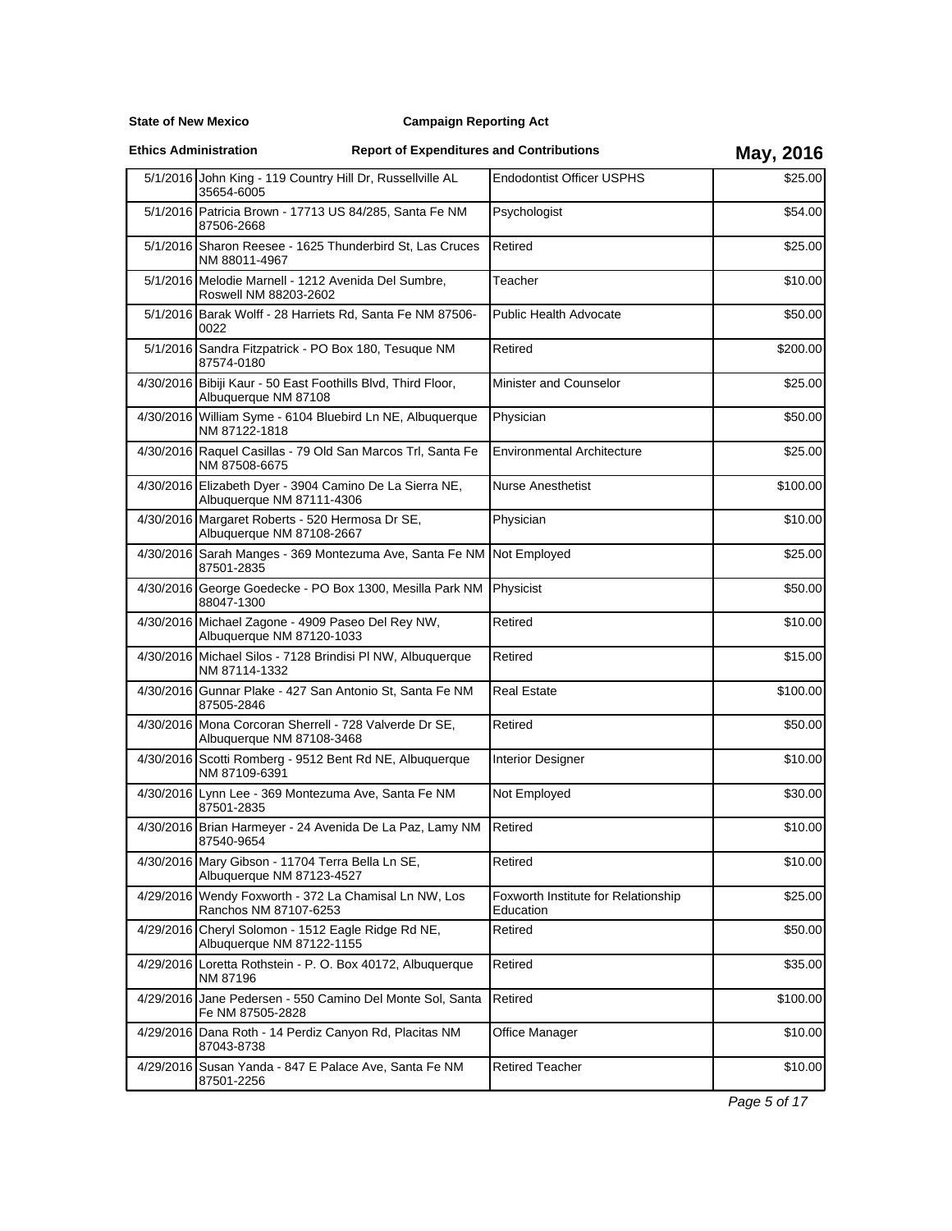### **Campaign Reporting Act**

**Ethics Administration**

# **Report of Expenditures and Contributions May, 2016**

|           | 5/1/2016 John King - 119 Country Hill Dr, Russellville AL<br>35654-6005              | <b>Endodontist Officer USPHS</b>                 | \$25.00  |
|-----------|--------------------------------------------------------------------------------------|--------------------------------------------------|----------|
|           | 5/1/2016 Patricia Brown - 17713 US 84/285, Santa Fe NM<br>87506-2668                 | Psychologist                                     | \$54.00  |
|           | 5/1/2016 Sharon Reesee - 1625 Thunderbird St, Las Cruces<br>NM 88011-4967            | Retired                                          | \$25.00  |
|           | 5/1/2016 Melodie Marnell - 1212 Avenida Del Sumbre,<br>Roswell NM 88203-2602         | Teacher                                          | \$10.00  |
|           | 5/1/2016 Barak Wolff - 28 Harriets Rd, Santa Fe NM 87506-<br>0022                    | <b>Public Health Advocate</b>                    | \$50.00  |
|           | 5/1/2016 Sandra Fitzpatrick - PO Box 180, Tesuque NM<br>87574-0180                   | Retired                                          | \$200.00 |
|           | 4/30/2016 Bibiji Kaur - 50 East Foothills Blvd, Third Floor,<br>Albuquerque NM 87108 | Minister and Counselor                           | \$25.00  |
|           | 4/30/2016 William Syme - 6104 Bluebird Ln NE, Albuquerque<br>NM 87122-1818           | Physician                                        | \$50.00  |
|           | 4/30/2016 Raquel Casillas - 79 Old San Marcos Trl, Santa Fe<br>NM 87508-6675         | <b>Environmental Architecture</b>                | \$25.00  |
|           | 4/30/2016 Elizabeth Dyer - 3904 Camino De La Sierra NE,<br>Albuquerque NM 87111-4306 | <b>Nurse Anesthetist</b>                         | \$100.00 |
|           | 4/30/2016 Margaret Roberts - 520 Hermosa Dr SE,<br>Albuquerque NM 87108-2667         | Physician                                        | \$10.00  |
|           | 4/30/2016 Sarah Manges - 369 Montezuma Ave, Santa Fe NM<br>87501-2835                | Not Employed                                     | \$25.00  |
|           | 4/30/2016 George Goedecke - PO Box 1300, Mesilla Park NM<br>88047-1300               | Physicist                                        | \$50.00  |
|           | 4/30/2016 Michael Zagone - 4909 Paseo Del Rey NW,<br>Albuquerque NM 87120-1033       | Retired                                          | \$10.00  |
|           | 4/30/2016 Michael Silos - 7128 Brindisi PI NW, Albuquerque<br>NM 87114-1332          | Retired                                          | \$15.00  |
|           | 4/30/2016 Gunnar Plake - 427 San Antonio St, Santa Fe NM<br>87505-2846               | <b>Real Estate</b>                               | \$100.00 |
|           | 4/30/2016 Mona Corcoran Sherrell - 728 Valverde Dr SE,<br>Albuquerque NM 87108-3468  | Retired                                          | \$50.00  |
|           | 4/30/2016 Scotti Romberg - 9512 Bent Rd NE, Albuquerque<br>NM 87109-6391             | Interior Designer                                | \$10.00  |
|           | 4/30/2016 Lynn Lee - 369 Montezuma Ave, Santa Fe NM<br>87501-2835                    | Not Employed                                     | \$30.00  |
|           | 4/30/2016 Brian Harmeyer - 24 Avenida De La Paz, Lamy NM<br>87540-9654               | Retired                                          | \$10.00  |
|           | 4/30/2016 Mary Gibson - 11704 Terra Bella Ln SE,<br>Albuquerque NM 87123-4527        | Retired                                          | \$10.00  |
|           | 4/29/2016 Wendy Foxworth - 372 La Chamisal Ln NW, Los<br>Ranchos NM 87107-6253       | Foxworth Institute for Relationship<br>Education | \$25.00  |
| 4/29/2016 | Cheryl Solomon - 1512 Eagle Ridge Rd NE,<br>Albuquerque NM 87122-1155                | Retired                                          | \$50.00  |
|           | 4/29/2016 Loretta Rothstein - P. O. Box 40172, Albuquerque<br>NM 87196               | Retired                                          | \$35.00  |
|           | 4/29/2016 Jane Pedersen - 550 Camino Del Monte Sol, Santa<br>Fe NM 87505-2828        | Retired                                          | \$100.00 |
|           | 4/29/2016 Dana Roth - 14 Perdiz Canyon Rd, Placitas NM<br>87043-8738                 | Office Manager                                   | \$10.00  |
|           | 4/29/2016 Susan Yanda - 847 E Palace Ave, Santa Fe NM<br>87501-2256                  | <b>Retired Teacher</b>                           | \$10.00  |
|           |                                                                                      |                                                  |          |

Page 5 of 17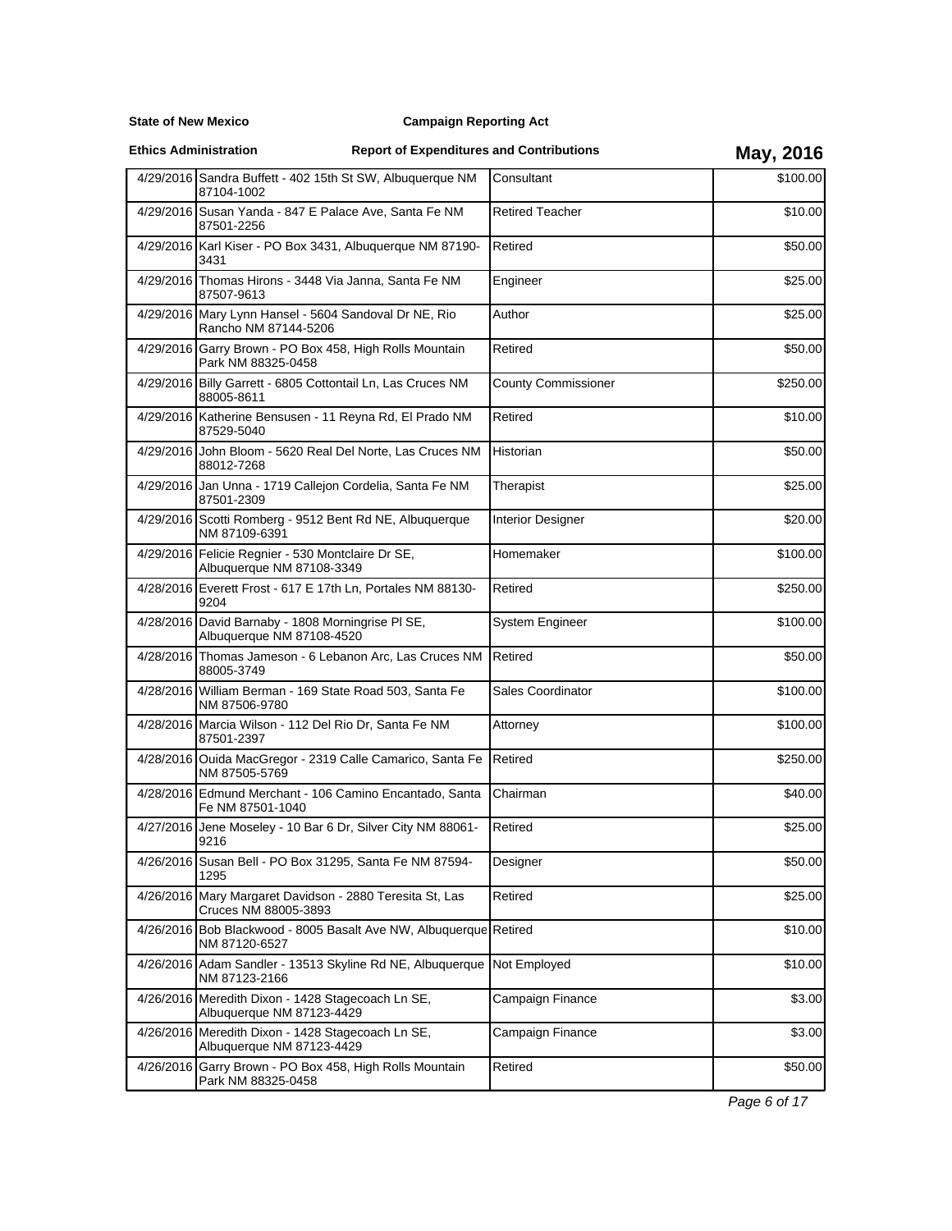**State of New Mexico**

**Ethics Administration**

# **Report of Expenditures and Contributions May, 2016**

|           | 4/29/2016 Sandra Buffett - 402 15th St SW, Albuquerque NM<br>87104-1002            | Consultant                 | \$100.00 |
|-----------|------------------------------------------------------------------------------------|----------------------------|----------|
|           | 4/29/2016 Susan Yanda - 847 E Palace Ave, Santa Fe NM<br>87501-2256                | <b>Retired Teacher</b>     | \$10.00  |
|           | 4/29/2016 Karl Kiser - PO Box 3431, Albuquerque NM 87190-<br>3431                  | Retired                    | \$50.00  |
|           | 4/29/2016 Thomas Hirons - 3448 Via Janna, Santa Fe NM<br>87507-9613                | Engineer                   | \$25.00  |
|           | 4/29/2016 Mary Lynn Hansel - 5604 Sandoval Dr NE, Rio<br>Rancho NM 87144-5206      | Author                     | \$25.00  |
|           | 4/29/2016 Garry Brown - PO Box 458, High Rolls Mountain<br>Park NM 88325-0458      | Retired                    | \$50.00  |
|           | 4/29/2016 Billy Garrett - 6805 Cottontail Ln, Las Cruces NM<br>88005-8611          | <b>County Commissioner</b> | \$250.00 |
|           | 4/29/2016 Katherine Bensusen - 11 Reyna Rd, El Prado NM<br>87529-5040              | Retired                    | \$10.00  |
|           | 4/29/2016 John Bloom - 5620 Real Del Norte, Las Cruces NM<br>88012-7268            | Historian                  | \$50.00  |
|           | 4/29/2016 Jan Unna - 1719 Callejon Cordelia, Santa Fe NM<br>87501-2309             | Therapist                  | \$25.00  |
|           | 4/29/2016 Scotti Romberg - 9512 Bent Rd NE, Albuquerque<br>NM 87109-6391           | Interior Designer          | \$20.00  |
|           | 4/29/2016 Felicie Regnier - 530 Montclaire Dr SE,<br>Albuquerque NM 87108-3349     | Homemaker                  | \$100.00 |
|           | 4/28/2016 Everett Frost - 617 E 17th Ln, Portales NM 88130-<br>9204                | Retired                    | \$250.00 |
|           | 4/28/2016 David Barnaby - 1808 Morningrise PI SE,<br>Albuquerque NM 87108-4520     | <b>System Engineer</b>     | \$100.00 |
|           | 4/28/2016 Thomas Jameson - 6 Lebanon Arc, Las Cruces NM<br>88005-3749              | Retired                    | \$50.00  |
|           | 4/28/2016 William Berman - 169 State Road 503, Santa Fe<br>NM 87506-9780           | Sales Coordinator          | \$100.00 |
|           | 4/28/2016 Marcia Wilson - 112 Del Rio Dr, Santa Fe NM<br>87501-2397                | Attorney                   | \$100.00 |
|           | 4/28/2016 Ouida MacGregor - 2319 Calle Camarico, Santa Fe<br>NM 87505-5769         | Retired                    | \$250.00 |
|           | 4/28/2016 Edmund Merchant - 106 Camino Encantado, Santa<br>Fe NM 87501-1040        | Chairman                   | \$40.00  |
|           | 4/27/2016 Jene Moseley - 10 Bar 6 Dr, Silver City NM 88061-<br>9216                | Retired                    | \$25.00  |
|           | 4/26/2016 Susan Bell - PO Box 31295, Santa Fe NM 87594-<br>1295                    | Designer                   | \$50.00  |
| 4/26/2016 | Mary Margaret Davidson - 2880 Teresita St, Las<br>Cruces NM 88005-3893             | Retired                    | \$25.00  |
|           | 4/26/2016 Bob Blackwood - 8005 Basalt Ave NW, Albuquerque Retired<br>NM 87120-6527 |                            | \$10.00  |
|           | 4/26/2016 Adam Sandler - 13513 Skyline Rd NE, Albuquerque<br>NM 87123-2166         | Not Employed               | \$10.00  |
|           | 4/26/2016 Meredith Dixon - 1428 Stagecoach Ln SE,<br>Albuquerque NM 87123-4429     | Campaign Finance           | \$3.00   |
|           | 4/26/2016 Meredith Dixon - 1428 Stagecoach Ln SE,<br>Albuquerque NM 87123-4429     | Campaign Finance           | \$3.00   |
|           | 4/26/2016 Garry Brown - PO Box 458, High Rolls Mountain<br>Park NM 88325-0458      | Retired                    | \$50.00  |
|           |                                                                                    |                            |          |

Page 6 of 17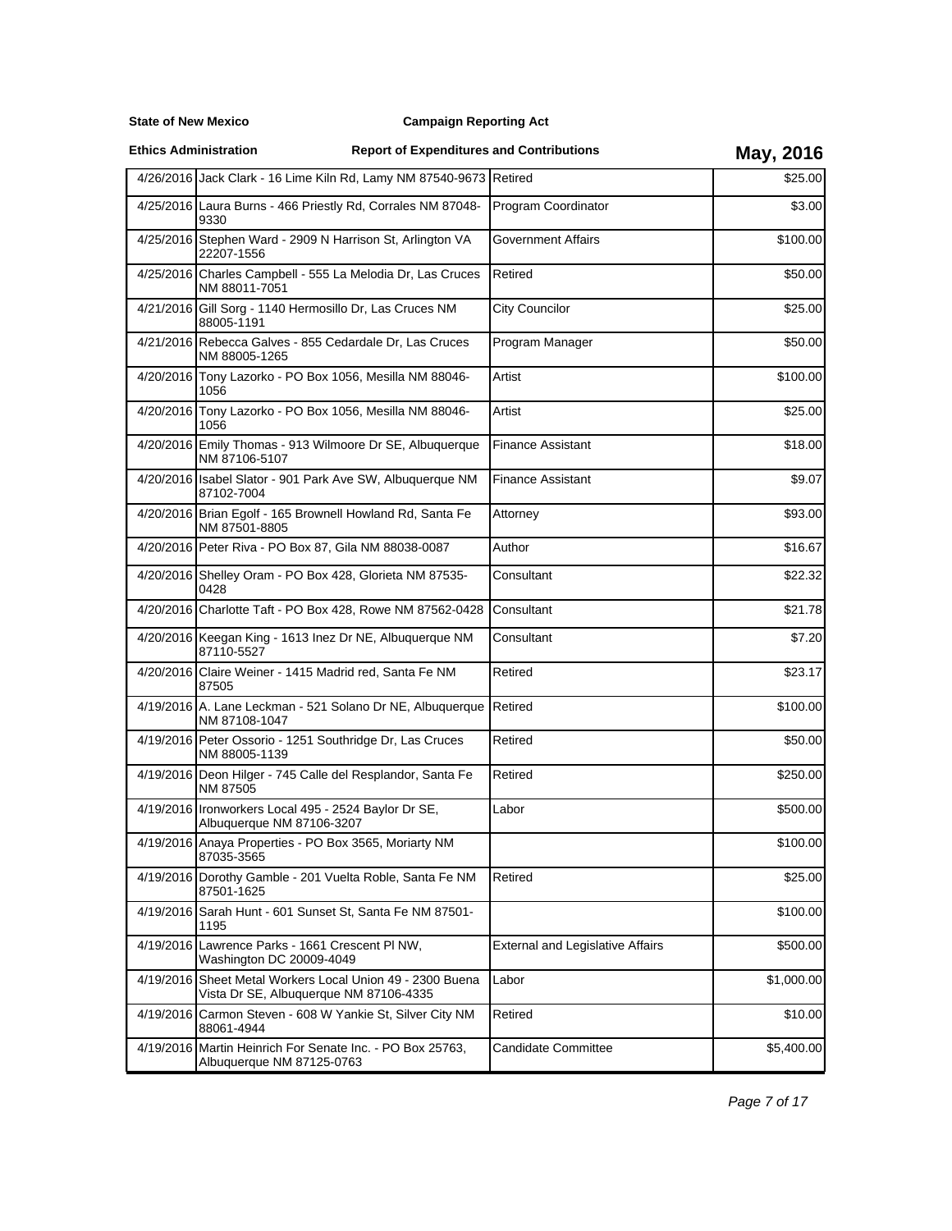### **Campaign Reporting Act**

**Ethics Administration**

|           | 4/26/2016 Jack Clark - 16 Lime Kiln Rd, Lamy NM 87540-9673 Retired                                  |                                         | \$25.00    |
|-----------|-----------------------------------------------------------------------------------------------------|-----------------------------------------|------------|
|           | 4/25/2016 Laura Burns - 466 Priestly Rd, Corrales NM 87048-<br>9330                                 | Program Coordinator                     | \$3.00     |
|           | 4/25/2016 Stephen Ward - 2909 N Harrison St, Arlington VA<br>22207-1556                             | Government Affairs                      | \$100.00   |
|           | 4/25/2016 Charles Campbell - 555 La Melodia Dr. Las Cruces<br>NM 88011-7051                         | Retired                                 | \$50.00    |
|           | 4/21/2016 Gill Sorg - 1140 Hermosillo Dr, Las Cruces NM<br>88005-1191                               | <b>City Councilor</b>                   | \$25.00    |
|           | 4/21/2016 Rebecca Galves - 855 Cedardale Dr, Las Cruces<br>NM 88005-1265                            | Program Manager                         | \$50.00    |
|           | 4/20/2016 Tony Lazorko - PO Box 1056, Mesilla NM 88046-<br>1056                                     | Artist                                  | \$100.00   |
|           | 4/20/2016 Tony Lazorko - PO Box 1056, Mesilla NM 88046-<br>1056                                     | Artist                                  | \$25.00    |
|           | 4/20/2016 Emily Thomas - 913 Wilmoore Dr SE, Albuquerque<br>NM 87106-5107                           | Finance Assistant                       | \$18.00    |
|           | 4/20/2016 Isabel Slator - 901 Park Ave SW, Albuquerque NM<br>87102-7004                             | <b>Finance Assistant</b>                | \$9.07     |
|           | 4/20/2016 Brian Egolf - 165 Brownell Howland Rd, Santa Fe<br>NM 87501-8805                          | Attorney                                | \$93.00    |
|           | 4/20/2016 Peter Riva - PO Box 87, Gila NM 88038-0087                                                | Author                                  | \$16.67    |
|           | 4/20/2016 Shelley Oram - PO Box 428, Glorieta NM 87535-<br>0428                                     | Consultant                              | \$22.32    |
|           | 4/20/2016 Charlotte Taft - PO Box 428, Rowe NM 87562-0428                                           | Consultant                              | \$21.78    |
|           | 4/20/2016 Keegan King - 1613 Inez Dr NE, Albuquerque NM<br>87110-5527                               | Consultant                              | \$7.20     |
|           | 4/20/2016 Claire Weiner - 1415 Madrid red, Santa Fe NM<br>87505                                     | Retired                                 | \$23.17    |
|           | 4/19/2016 A. Lane Leckman - 521 Solano Dr NE, Albuquerque<br>NM 87108-1047                          | Retired                                 | \$100.00   |
|           | 4/19/2016 Peter Ossorio - 1251 Southridge Dr, Las Cruces<br>NM 88005-1139                           | Retired                                 | \$50.00    |
|           | 4/19/2016 Deon Hilger - 745 Calle del Resplandor, Santa Fe<br>NM 87505                              | Retired                                 | \$250.00   |
|           | 4/19/2016 Ironworkers Local 495 - 2524 Baylor Dr SE,<br>Albuquerque NM 87106-3207                   | Labor                                   | \$500.00   |
|           | 4/19/2016 Anaya Properties - PO Box 3565, Moriarty NM<br>87035-3565                                 |                                         | \$100.00   |
|           | 4/19/2016 Dorothy Gamble - 201 Vuelta Roble, Santa Fe NM<br>87501-1625                              | Retired                                 | \$25.00    |
| 4/19/2016 | Sarah Hunt - 601 Sunset St, Santa Fe NM 87501-<br>1195                                              |                                         | \$100.00   |
|           | 4/19/2016 Lawrence Parks - 1661 Crescent PI NW,<br>Washington DC 20009-4049                         | <b>External and Legislative Affairs</b> | \$500.00   |
|           | 4/19/2016 Sheet Metal Workers Local Union 49 - 2300 Buena<br>Vista Dr SE, Albuquerque NM 87106-4335 | Labor                                   | \$1,000.00 |
| 4/19/2016 | Carmon Steven - 608 W Yankie St, Silver City NM<br>88061-4944                                       | Retired                                 | \$10.00    |
|           | 4/19/2016 Martin Heinrich For Senate Inc. - PO Box 25763,<br>Albuquerque NM 87125-0763              | <b>Candidate Committee</b>              | \$5,400.00 |
|           |                                                                                                     |                                         |            |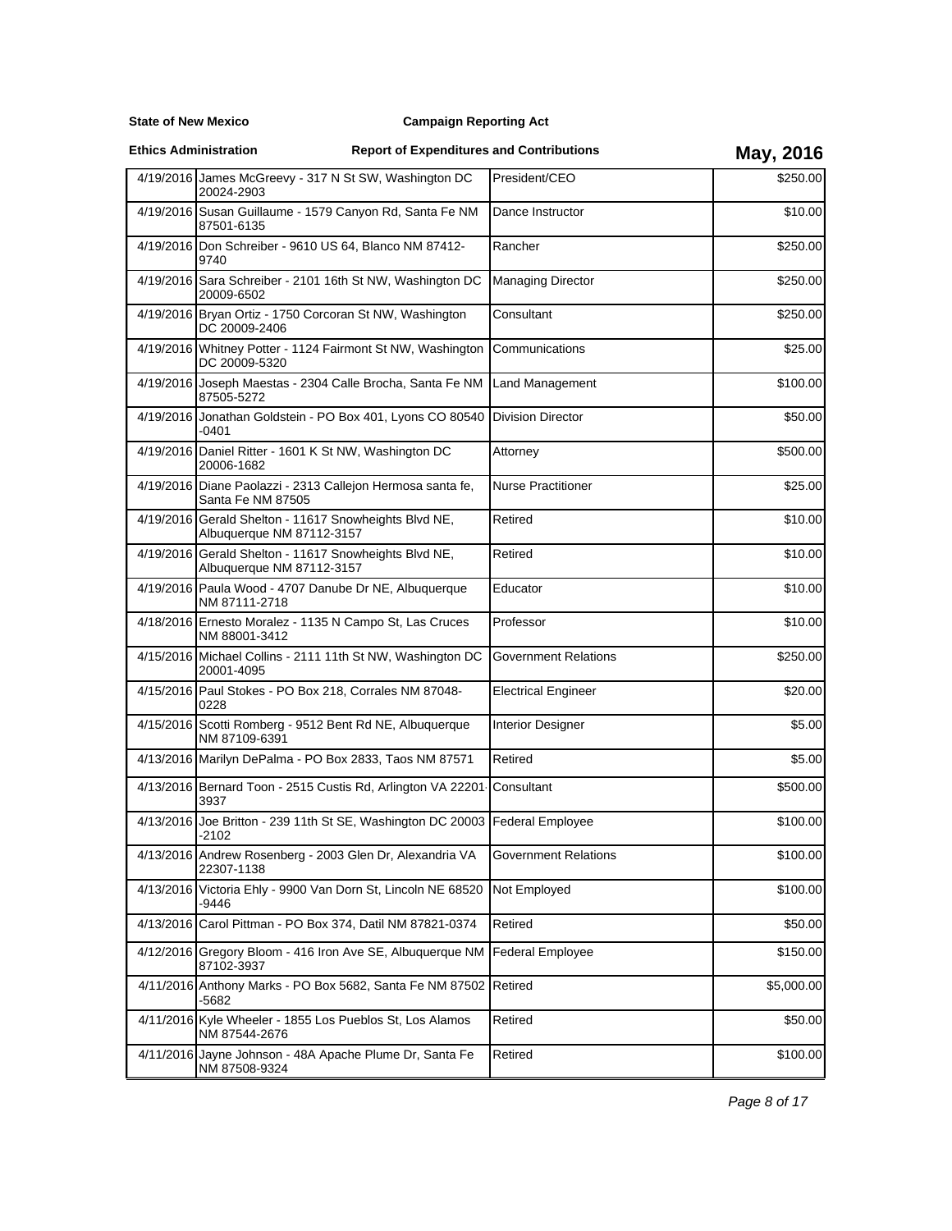### **Campaign Reporting Act**

**Ethics Administration**

|           | 4/19/2016 James McGreevy - 317 N St SW, Washington DC<br>20024-2903                | President/CEO              | \$250.00   |
|-----------|------------------------------------------------------------------------------------|----------------------------|------------|
|           | 4/19/2016 Susan Guillaume - 1579 Canyon Rd, Santa Fe NM<br>87501-6135              | Dance Instructor           | \$10.00    |
|           | 4/19/2016 Don Schreiber - 9610 US 64, Blanco NM 87412-<br>9740                     | Rancher                    | \$250.00   |
|           | 4/19/2016 Sara Schreiber - 2101 16th St NW, Washington DC<br>20009-6502            | <b>Managing Director</b>   | \$250.00   |
|           | 4/19/2016 Bryan Ortiz - 1750 Corcoran St NW, Washington<br>DC 20009-2406           | Consultant                 | \$250.00   |
|           | 4/19/2016 Whitney Potter - 1124 Fairmont St NW, Washington<br>DC 20009-5320        | Communications             | \$25.00    |
|           | 4/19/2016 Joseph Maestas - 2304 Calle Brocha, Santa Fe NM<br>87505-5272            | Land Management            | \$100.00   |
|           | 4/19/2016 Jonathan Goldstein - PO Box 401, Lyons CO 80540<br>$-0401$               | <b>Division Director</b>   | \$50.00    |
|           | 4/19/2016 Daniel Ritter - 1601 K St NW, Washington DC<br>20006-1682                | Attorney                   | \$500.00   |
|           | 4/19/2016 Diane Paolazzi - 2313 Callejon Hermosa santa fe,<br>Santa Fe NM 87505    | <b>Nurse Practitioner</b>  | \$25.00    |
|           | 4/19/2016 Gerald Shelton - 11617 Snowheights Blvd NE,<br>Albuquerque NM 87112-3157 | Retired                    | \$10.00    |
|           | 4/19/2016 Gerald Shelton - 11617 Snowheights Blvd NE,<br>Albuquerque NM 87112-3157 | Retired                    | \$10.00    |
|           | 4/19/2016 Paula Wood - 4707 Danube Dr NE, Albuquerque<br>NM 87111-2718             | Educator                   | \$10.00    |
|           | 4/18/2016 Ernesto Moralez - 1135 N Campo St, Las Cruces<br>NM 88001-3412           | Professor                  | \$10.00    |
|           | 4/15/2016 Michael Collins - 2111 11th St NW, Washington DC<br>20001-4095           | Government Relations       | \$250.00   |
|           | 4/15/2016 Paul Stokes - PO Box 218, Corrales NM 87048-<br>0228                     | <b>Electrical Engineer</b> | \$20.00    |
|           | 4/15/2016 Scotti Romberg - 9512 Bent Rd NE, Albuquerque<br>NM 87109-6391           | Interior Designer          | \$5.00     |
|           | 4/13/2016 Marilyn DePalma - PO Box 2833, Taos NM 87571                             | Retired                    | \$5.00     |
|           | 4/13/2016 Bernard Toon - 2515 Custis Rd, Arlington VA 22201<br>3937                | Consultant                 | \$500.00   |
|           | 4/13/2016 Joe Britton - 239 11th St SE, Washington DC 20003<br>-2102               | <b>Federal Employee</b>    | \$100.00   |
|           | 4/13/2016 Andrew Rosenberg - 2003 Glen Dr, Alexandria VA<br>22307-1138             | Government Relations       | \$100.00   |
|           | 4/13/2016 Victoria Ehly - 9900 Van Dorn St, Lincoln NE 68520<br>-9446              | Not Employed               | \$100.00   |
|           | 4/13/2016 Carol Pittman - PO Box 374, Datil NM 87821-0374                          | Retired                    | \$50.00    |
| 4/12/2016 | Gregory Bloom - 416 Iron Ave SE, Albuquerque NM<br>87102-3937                      | <b>Federal Employee</b>    | \$150.00   |
|           | 4/11/2016 Anthony Marks - PO Box 5682, Santa Fe NM 87502<br>-5682                  | Retired                    | \$5,000.00 |
|           | 4/11/2016 Kyle Wheeler - 1855 Los Pueblos St, Los Alamos<br>NM 87544-2676          | Retired                    | \$50.00    |
|           | 4/11/2016 Jayne Johnson - 48A Apache Plume Dr, Santa Fe<br>NM 87508-9324           | Retired                    | \$100.00   |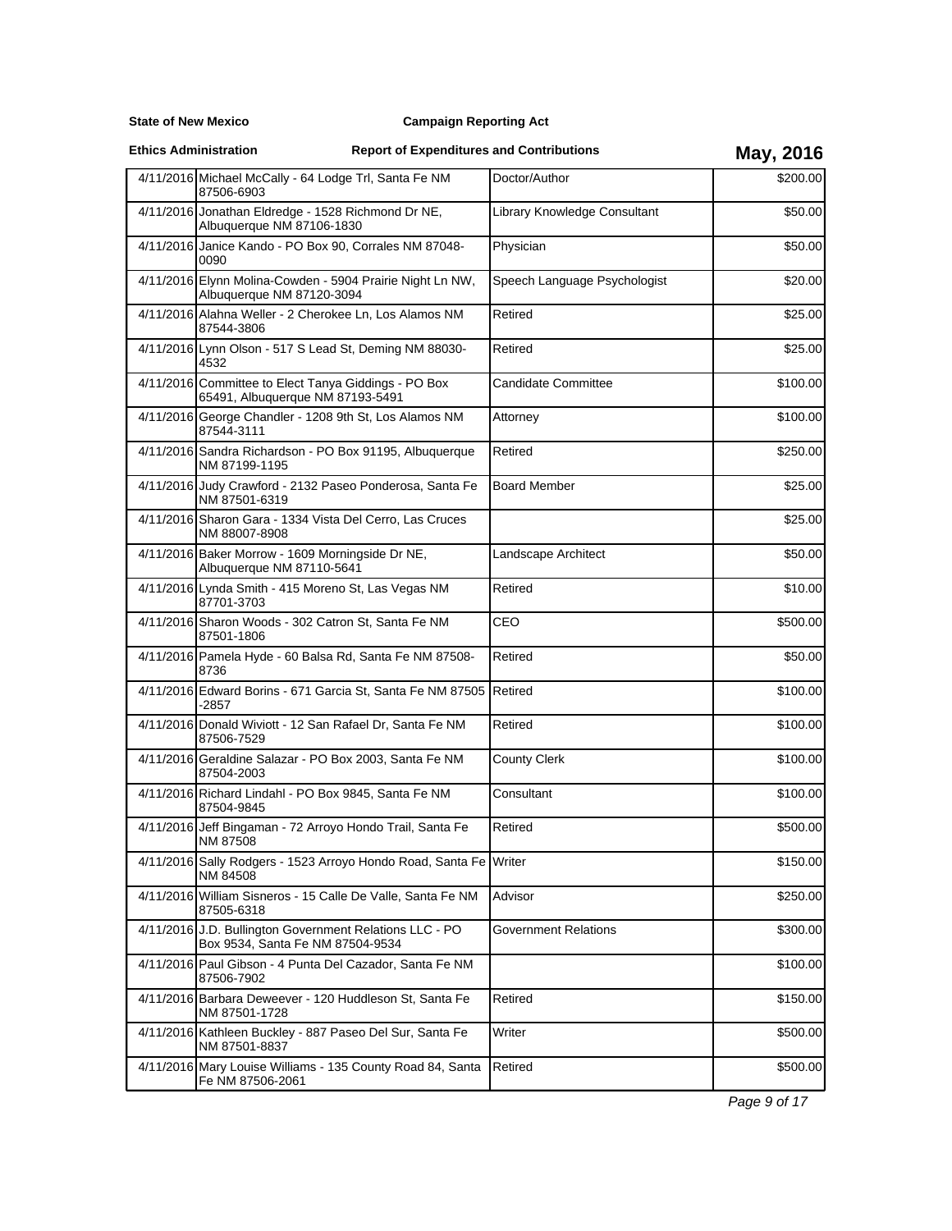### **Campaign Reporting Act**

**Ethics Administration**

# **Report of Expenditures and Contributions May, 2016**

| 4/11/2016 Michael McCally - 64 Lodge Trl, Santa Fe NM<br>87506-6903                         | Doctor/Author                | \$200.00 |
|---------------------------------------------------------------------------------------------|------------------------------|----------|
| 4/11/2016 Jonathan Eldredge - 1528 Richmond Dr NE,<br>Albuquerque NM 87106-1830             | Library Knowledge Consultant | \$50.00  |
| 4/11/2016 Janice Kando - PO Box 90, Corrales NM 87048-<br>0090                              | Physician                    | \$50.00  |
| 4/11/2016 Elynn Molina-Cowden - 5904 Prairie Night Ln NW,<br>Albuquerque NM 87120-3094      | Speech Language Psychologist | \$20.00  |
| 4/11/2016 Alahna Weller - 2 Cherokee Ln, Los Alamos NM<br>87544-3806                        | Retired                      | \$25.00  |
| 4/11/2016 Lynn Olson - 517 S Lead St, Deming NM 88030-<br>4532                              | Retired                      | \$25.00  |
| 4/11/2016 Committee to Elect Tanya Giddings - PO Box<br>65491, Albuquerque NM 87193-5491    | <b>Candidate Committee</b>   | \$100.00 |
| 4/11/2016 George Chandler - 1208 9th St, Los Alamos NM<br>87544-3111                        | Attorney                     | \$100.00 |
| 4/11/2016 Sandra Richardson - PO Box 91195, Albuquerque<br>NM 87199-1195                    | Retired                      | \$250.00 |
| 4/11/2016 Judy Crawford - 2132 Paseo Ponderosa, Santa Fe<br>NM 87501-6319                   | Board Member                 | \$25.00  |
| 4/11/2016 Sharon Gara - 1334 Vista Del Cerro, Las Cruces<br>NM 88007-8908                   |                              | \$25.00  |
| 4/11/2016 Baker Morrow - 1609 Morningside Dr NE,<br>Albuquerque NM 87110-5641               | Landscape Architect          | \$50.00  |
| 4/11/2016 Lynda Smith - 415 Moreno St, Las Vegas NM<br>87701-3703                           | Retired                      | \$10.00  |
| 4/11/2016 Sharon Woods - 302 Catron St, Santa Fe NM<br>87501-1806                           | CEO                          | \$500.00 |
| 4/11/2016 Pamela Hyde - 60 Balsa Rd, Santa Fe NM 87508-<br>8736                             | Retired                      | \$50.00  |
| 4/11/2016 Edward Borins - 671 Garcia St, Santa Fe NM 87505<br>-2857                         | <b>Retired</b>               | \$100.00 |
| 4/11/2016 Donald Wiviott - 12 San Rafael Dr, Santa Fe NM<br>87506-7529                      | Retired                      | \$100.00 |
| 4/11/2016 Geraldine Salazar - PO Box 2003, Santa Fe NM<br>87504-2003                        | <b>County Clerk</b>          | \$100.00 |
| 4/11/2016 Richard Lindahl - PO Box 9845, Santa Fe NM<br>87504-9845                          | Consultant                   | \$100.00 |
| 4/11/2016 Jeff Bingaman - 72 Arroyo Hondo Trail, Santa Fe<br>NM 87508                       | Retired                      | \$500.00 |
| 4/11/2016 Sally Rodgers - 1523 Arroyo Hondo Road, Santa Fe Writer<br>NM 84508               |                              | \$150.00 |
| 4/11/2016 William Sisneros - 15 Calle De Valle, Santa Fe NM<br>87505-6318                   | Advisor                      | \$250.00 |
| 4/11/2016 J.D. Bullington Government Relations LLC - PO<br>Box 9534, Santa Fe NM 87504-9534 | Government Relations         | \$300.00 |
| 4/11/2016 Paul Gibson - 4 Punta Del Cazador, Santa Fe NM<br>87506-7902                      |                              | \$100.00 |
| 4/11/2016 Barbara Deweever - 120 Huddleson St, Santa Fe<br>NM 87501-1728                    | Retired                      | \$150.00 |
| 4/11/2016 Kathleen Buckley - 887 Paseo Del Sur, Santa Fe<br>NM 87501-8837                   | Writer                       | \$500.00 |
| 4/11/2016 Mary Louise Williams - 135 County Road 84, Santa<br>Fe NM 87506-2061              | Retired                      | \$500.00 |

Page 9 of 17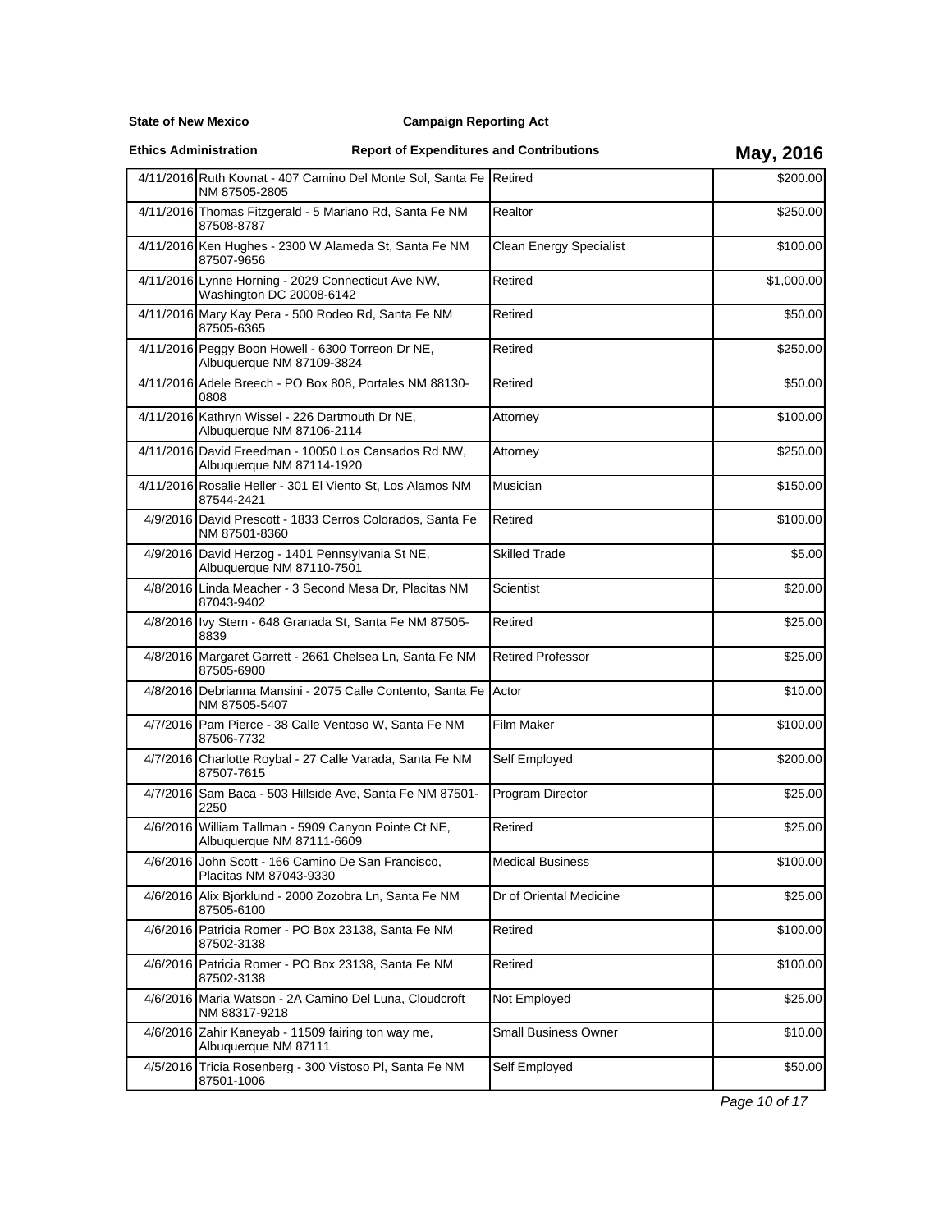**State of New Mexico**

### **Ethics Administration**

# **Report of Expenditures and Contributions May, 2016**

|          | 4/11/2016 Ruth Kovnat - 407 Camino Del Monte Sol, Santa Fe Retired<br>NM 87505-2805 |                             | \$200.00   |
|----------|-------------------------------------------------------------------------------------|-----------------------------|------------|
|          | 4/11/2016 Thomas Fitzgerald - 5 Mariano Rd, Santa Fe NM<br>87508-8787               | Realtor                     | \$250.00   |
|          | 4/11/2016 Ken Hughes - 2300 W Alameda St, Santa Fe NM<br>87507-9656                 | Clean Energy Specialist     | \$100.00   |
|          | 4/11/2016 Lynne Horning - 2029 Connecticut Ave NW,<br>Washington DC 20008-6142      | Retired                     | \$1,000.00 |
|          | 4/11/2016 Mary Kay Pera - 500 Rodeo Rd, Santa Fe NM<br>87505-6365                   | Retired                     | \$50.00    |
|          | 4/11/2016 Peggy Boon Howell - 6300 Torreon Dr NE,<br>Albuquerque NM 87109-3824      | Retired                     | \$250.00   |
|          | 4/11/2016 Adele Breech - PO Box 808, Portales NM 88130-<br>0808                     | Retired                     | \$50.00    |
|          | 4/11/2016 Kathryn Wissel - 226 Dartmouth Dr NE,<br>Albuquerque NM 87106-2114        | Attorney                    | \$100.00   |
|          | 4/11/2016 David Freedman - 10050 Los Cansados Rd NW,<br>Albuquerque NM 87114-1920   | Attorney                    | \$250.00   |
|          | 4/11/2016 Rosalie Heller - 301 El Viento St, Los Alamos NM<br>87544-2421            | Musician                    | \$150.00   |
|          | 4/9/2016 David Prescott - 1833 Cerros Colorados, Santa Fe<br>NM 87501-8360          | Retired                     | \$100.00   |
|          | 4/9/2016 David Herzog - 1401 Pennsylvania St NE,<br>Albuquerque NM 87110-7501       | <b>Skilled Trade</b>        | \$5.00     |
|          | 4/8/2016 Linda Meacher - 3 Second Mesa Dr, Placitas NM<br>87043-9402                | Scientist                   | \$20.00    |
|          | 4/8/2016 Ivy Stern - 648 Granada St, Santa Fe NM 87505-<br>8839                     | Retired                     | \$25.00    |
|          | 4/8/2016 Margaret Garrett - 2661 Chelsea Ln, Santa Fe NM<br>87505-6900              | <b>Retired Professor</b>    | \$25.00    |
|          | 4/8/2016 Debrianna Mansini - 2075 Calle Contento, Santa Fe<br>NM 87505-5407         | Actor                       | \$10.00    |
|          | 4/7/2016 Pam Pierce - 38 Calle Ventoso W, Santa Fe NM<br>87506-7732                 | Film Maker                  | \$100.00   |
|          | 4/7/2016 Charlotte Roybal - 27 Calle Varada, Santa Fe NM<br>87507-7615              | Self Employed               | \$200.00   |
|          | 4/7/2016 Sam Baca - 503 Hillside Ave, Santa Fe NM 87501-<br>2250                    | Program Director            | \$25.00    |
|          | 4/6/2016 William Tallman - 5909 Canyon Pointe Ct NE,<br>Albuquerque NM 87111-6609   | Retired                     | \$25.00    |
|          | 4/6/2016 John Scott - 166 Camino De San Francisco.<br>Placitas NM 87043-9330        | <b>Medical Business</b>     | \$100.00   |
| 4/6/2016 | Alix Bjorklund - 2000 Zozobra Ln, Santa Fe NM<br>87505-6100                         | Dr of Oriental Medicine     | \$25.00    |
|          | 4/6/2016 Patricia Romer - PO Box 23138, Santa Fe NM<br>87502-3138                   | Retired                     | \$100.00   |
|          | 4/6/2016 Patricia Romer - PO Box 23138, Santa Fe NM<br>87502-3138                   | Retired                     | \$100.00   |
|          | 4/6/2016 Maria Watson - 2A Camino Del Luna, Cloudcroft<br>NM 88317-9218             | Not Employed                | \$25.00    |
|          | 4/6/2016 Zahir Kaneyab - 11509 fairing ton way me,<br>Albuquerque NM 87111          | <b>Small Business Owner</b> | \$10.00    |
|          | 4/5/2016 Tricia Rosenberg - 300 Vistoso PI, Santa Fe NM<br>87501-1006               | Self Employed               | \$50.00    |

Page 10 of 17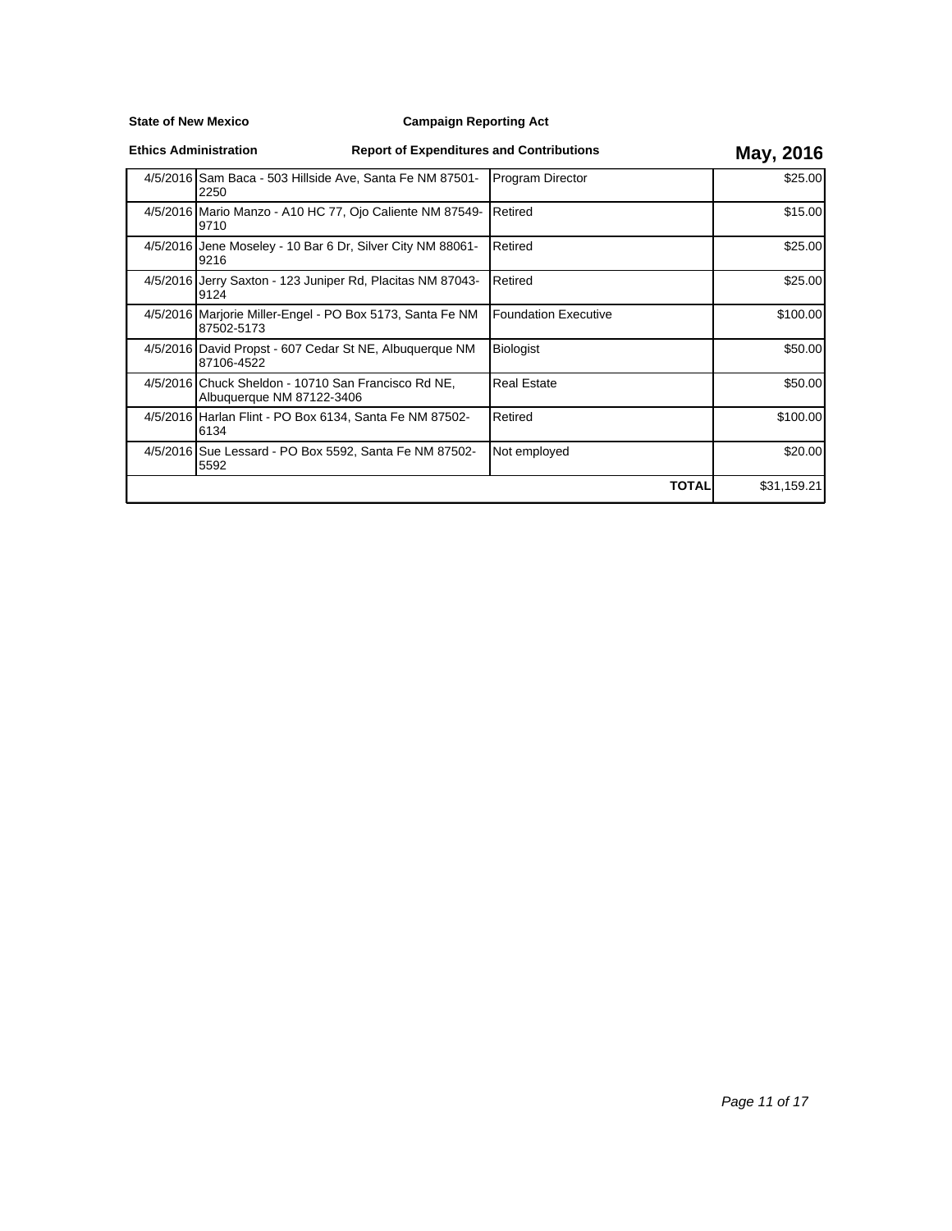### **Campaign Reporting Act**

| <b>Ethics Administration</b> |  |
|------------------------------|--|
|------------------------------|--|

|                                                                                  |                      | -- , ,      |
|----------------------------------------------------------------------------------|----------------------|-------------|
| 4/5/2016 Sam Baca - 503 Hillside Ave, Santa Fe NM 87501-<br>2250                 | Program Director     | \$25.00     |
| 4/5/2016 Mario Manzo - A10 HC 77, Ojo Caliente NM 87549-<br>9710                 | Retired              | \$15.00     |
| 4/5/2016 Jene Moseley - 10 Bar 6 Dr, Silver City NM 88061-<br>9216               | Retired              | \$25.00     |
| 4/5/2016 Jerry Saxton - 123 Juniper Rd, Placitas NM 87043-<br>9124               | <b>Retired</b>       | \$25.00     |
| 4/5/2016 Marjorie Miller-Engel - PO Box 5173, Santa Fe NM<br>87502-5173          | Foundation Executive | \$100.00    |
| 4/5/2016 David Propst - 607 Cedar St NE, Albuguerque NM<br>87106-4522            | Biologist            | \$50.00     |
| 4/5/2016 Chuck Sheldon - 10710 San Francisco Rd NE,<br>Albuquerque NM 87122-3406 | <b>Real Estate</b>   | \$50.00     |
| 4/5/2016 Harlan Flint - PO Box 6134, Santa Fe NM 87502-<br>6134                  | Retired              | \$100.00    |
| 4/5/2016 Sue Lessard - PO Box 5592, Santa Fe NM 87502-<br>5592                   | Not employed         | \$20.00     |
|                                                                                  | <b>TOTAL</b>         | \$31,159.21 |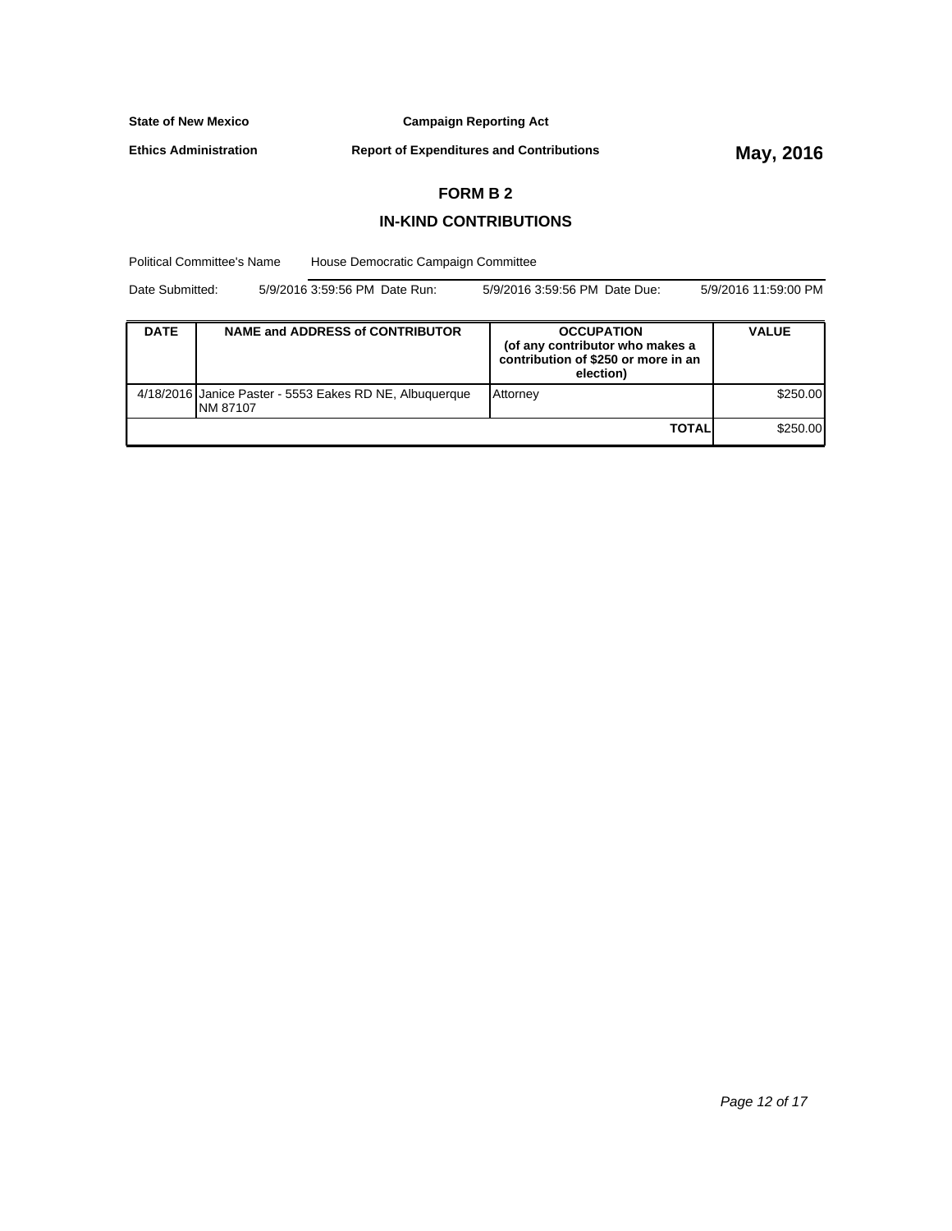**Campaign Reporting Act**

**Ethics Administration**

**Report of Expenditures and Contributions May, 2016**

### **FORM B 2**

### **IN-KIND CONTRIBUTIONS**

Political Committee's Name House Democratic Campaign Committee

Date Submitted: 5/9/2016 3:59:56 PM Date Run: 5/9/2016 3:59:56 PM Date Due: 5/9/2016 11:59:00 PM

| <b>DATE</b> | <b>NAME and ADDRESS of CONTRIBUTOR</b>                               | <b>OCCUPATION</b><br>(of any contributor who makes a<br>contribution of \$250 or more in an<br>election) | <b>VALUE</b> |
|-------------|----------------------------------------------------------------------|----------------------------------------------------------------------------------------------------------|--------------|
|             | 4/18/2016 Janice Paster - 5553 Eakes RD NE, Albuquerque<br>INM 87107 | <b>Attorney</b>                                                                                          | \$250.00     |
|             |                                                                      | <b>TOTAL</b>                                                                                             | \$250.00     |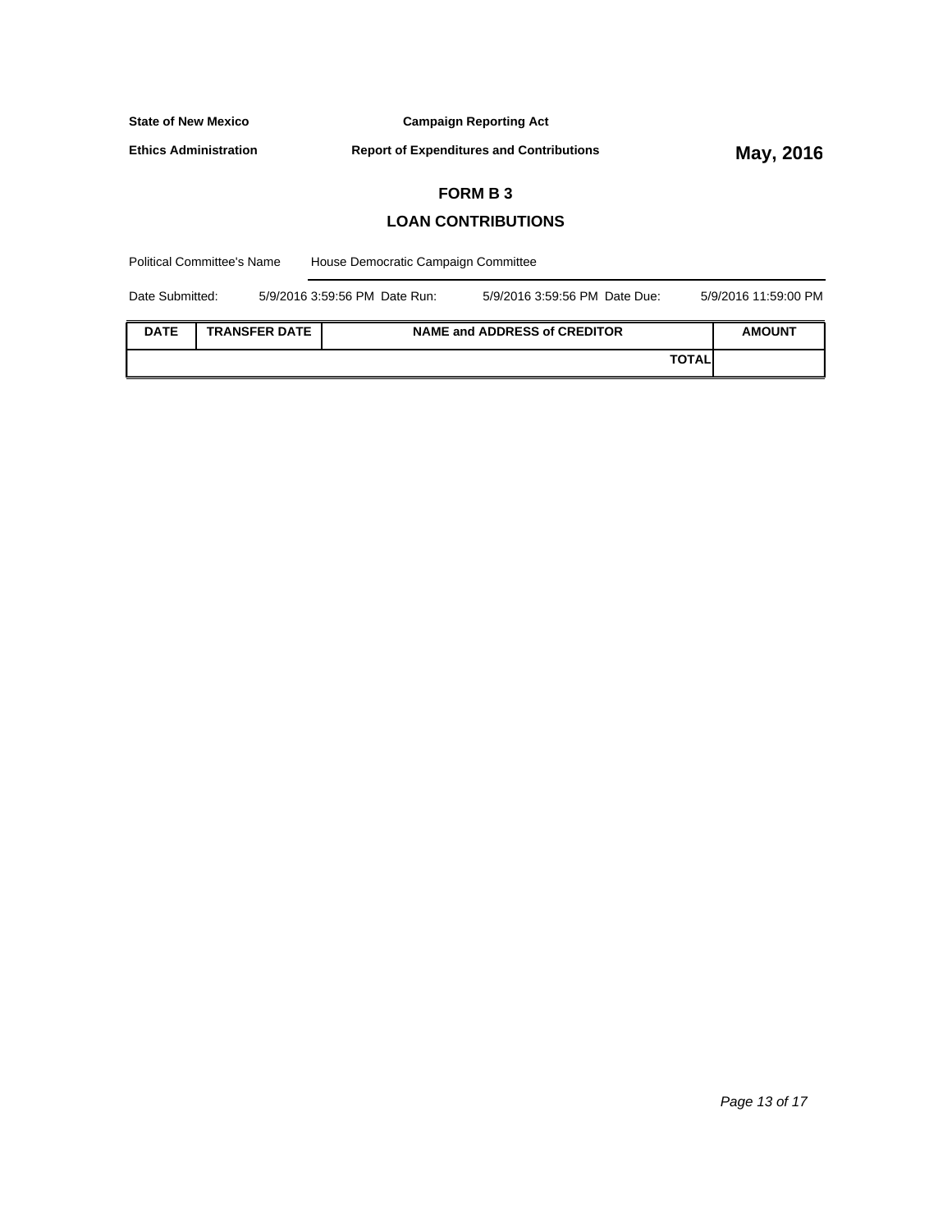**Campaign Reporting Act**

**Ethics Administration**

**Report of Expenditures and Contributions May, 2016** 

 $\overline{\phantom{0}}$ 

### **FORM B 3**

### **LOAN CONTRIBUTIONS**

| <b>Political Committee's Name</b> |  |                      | House Democratic Campaign Committee |  |                                     |              |                      |
|-----------------------------------|--|----------------------|-------------------------------------|--|-------------------------------------|--------------|----------------------|
| Date Submitted:                   |  |                      | 5/9/2016 3:59:56 PM Date Run:       |  | 5/9/2016 3:59:56 PM Date Due:       |              | 5/9/2016 11:59:00 PM |
| <b>DATE</b>                       |  | <b>TRANSFER DATE</b> |                                     |  | <b>NAME and ADDRESS of CREDITOR</b> |              | <b>AMOUNT</b>        |
|                                   |  |                      |                                     |  |                                     | <b>TOTAL</b> |                      |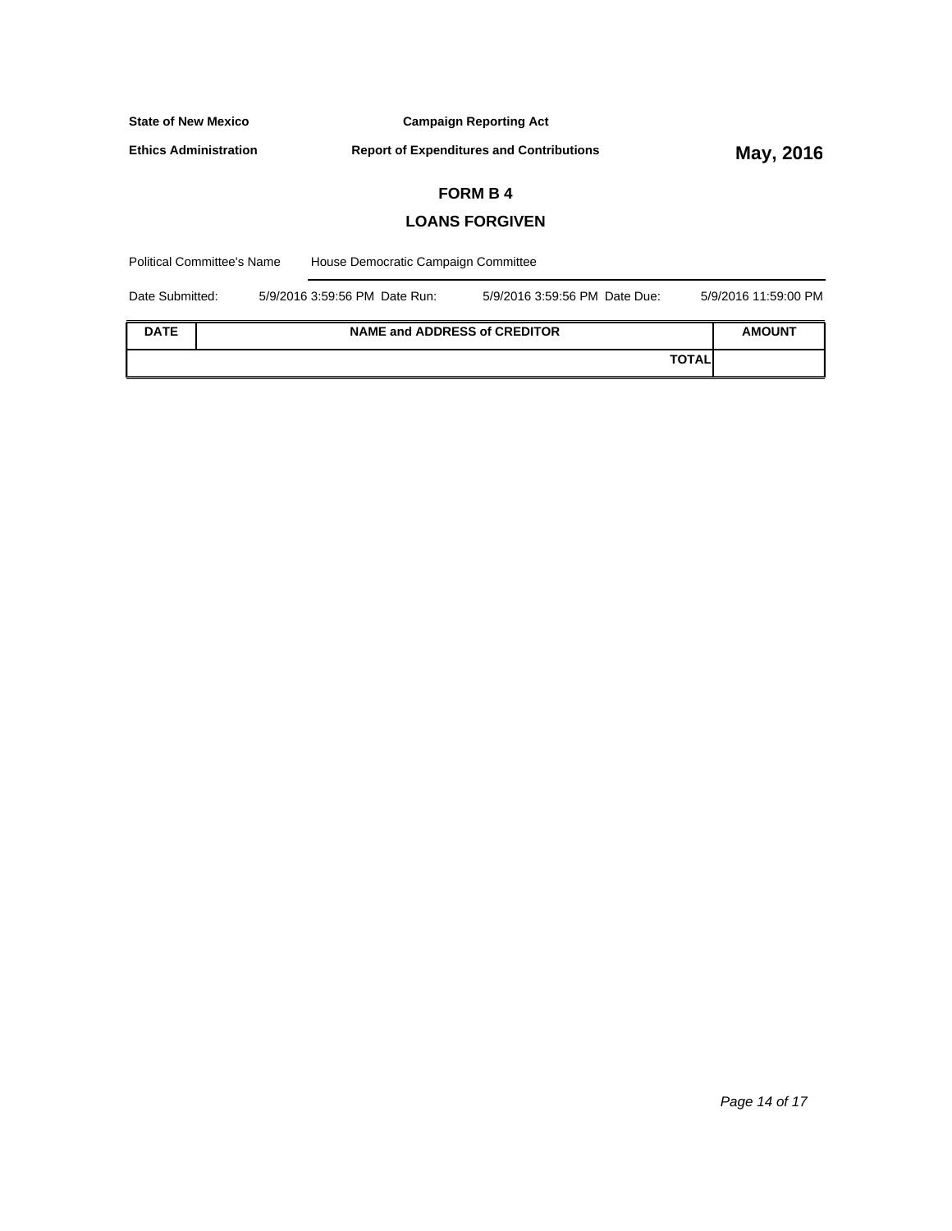| <b>State of New Mexico</b> |                                                                                 |                                     | <b>Campaign Reporting Act</b> |  |                      |
|----------------------------|---------------------------------------------------------------------------------|-------------------------------------|-------------------------------|--|----------------------|
|                            | <b>Ethics Administration</b><br><b>Report of Expenditures and Contributions</b> |                                     |                               |  | May, 2016            |
|                            |                                                                                 |                                     | <b>FORM B4</b>                |  |                      |
|                            |                                                                                 |                                     | <b>LOANS FORGIVEN</b>         |  |                      |
|                            | <b>Political Committee's Name</b>                                               | House Democratic Campaign Committee |                               |  |                      |
| Date Submitted:            |                                                                                 | 5/9/2016 3:59:56 PM Date Run:       | 5/9/2016 3:59:56 PM Date Due: |  | 5/9/2016 11:59:00 PM |
| <b>DATE</b>                | <b>NAME and ADDRESS of CREDITOR</b>                                             |                                     |                               |  | <b>AMOUNT</b>        |

**TOTAL**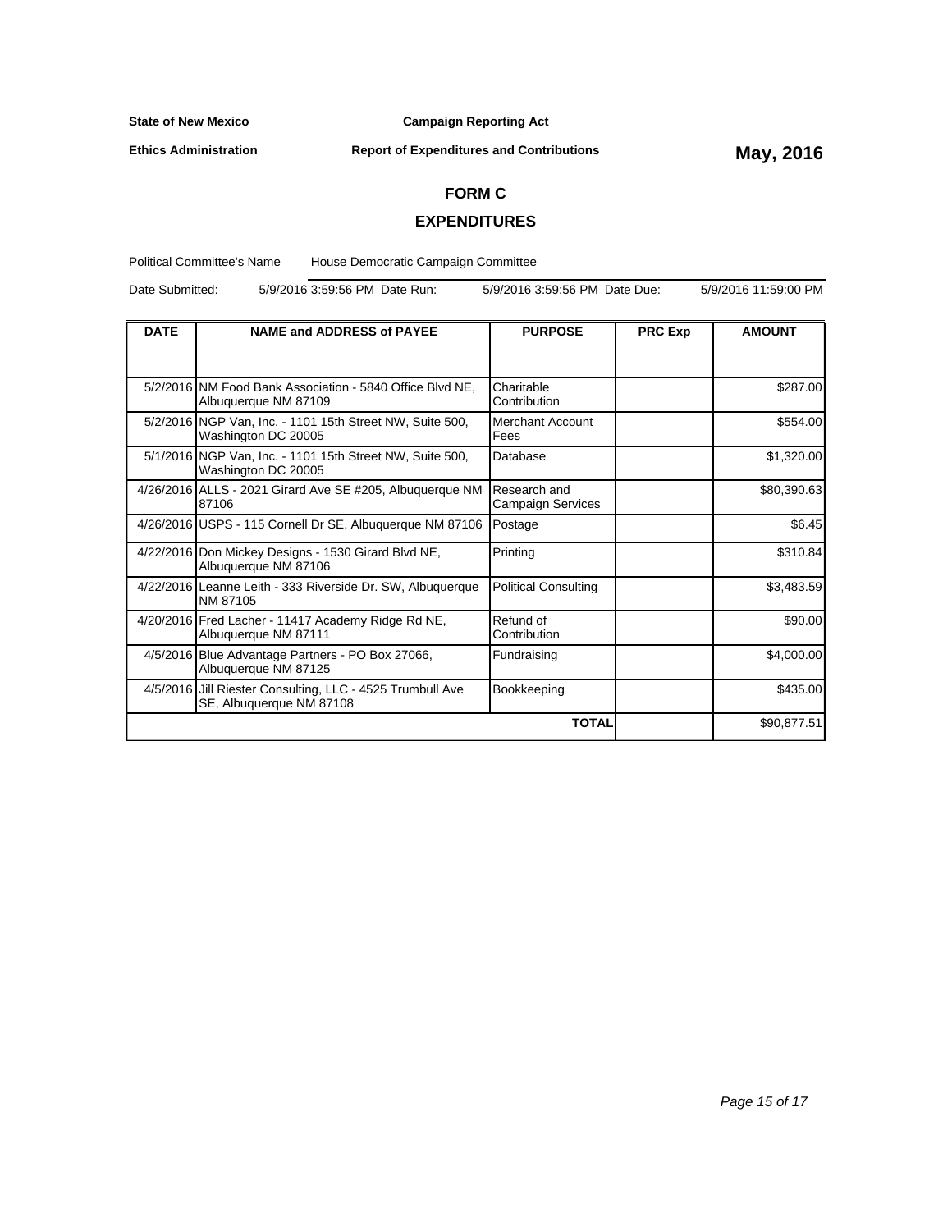**Ethics Administration**

**Campaign Reporting Act**

# **Report of Expenditures and Contributions May, 2016**

### **FORM C**

### **EXPENDITURES**

Political Committee's Name House Democratic Campaign Committee

Date Submitted: 5/9/2016 3:59:56 PM Date Run: 5/9/2016 3:59:56 PM Date Due: 5/9/2016 11:59:00 PM

| <b>DATE</b> | <b>NAME and ADDRESS of PAYEE</b><br><b>PURPOSE</b>                                    |                                          | <b>PRC Exp</b> | <b>AMOUNT</b> |
|-------------|---------------------------------------------------------------------------------------|------------------------------------------|----------------|---------------|
|             |                                                                                       |                                          |                |               |
|             | 5/2/2016 NM Food Bank Association - 5840 Office Blvd NE.<br>Albuquerque NM 87109      | Charitable<br>Contribution               |                | \$287.00      |
|             | 5/2/2016 NGP Van, Inc. - 1101 15th Street NW, Suite 500,<br>Washington DC 20005       | Merchant Account<br>Fees                 |                | \$554.00      |
|             | 5/1/2016 NGP Van, Inc. - 1101 15th Street NW, Suite 500,<br>Washington DC 20005       | Database                                 |                | \$1,320.00    |
|             | 4/26/2016 ALLS - 2021 Girard Ave SE #205, Albuquerque NM<br>87106                     | Research and<br><b>Campaign Services</b> |                | \$80,390.63   |
|             | 4/26/2016 USPS - 115 Cornell Dr SE, Albuquerque NM 87106                              | Postage                                  |                | \$6.45        |
|             | 4/22/2016 Don Mickey Designs - 1530 Girard Blvd NE,<br>Albuquerque NM 87106           | Printing                                 |                | \$310.84      |
|             | 4/22/2016 Leanne Leith - 333 Riverside Dr. SW, Albuquerque<br>INM 87105               | <b>Political Consulting</b>              |                | \$3,483.59    |
|             | 4/20/2016 Fred Lacher - 11417 Academy Ridge Rd NE,<br>Albuquerque NM 87111            | Refund of<br>Contribution                |                | \$90.00       |
|             | 4/5/2016 Blue Advantage Partners - PO Box 27066,<br>Albuquerque NM 87125              | Fundraising                              |                | \$4,000.00    |
|             | 4/5/2016 Jill Riester Consulting, LLC - 4525 Trumbull Ave<br>SE, Albuquerque NM 87108 | Bookkeeping                              |                | \$435.00      |
|             |                                                                                       |                                          | \$90,877.51    |               |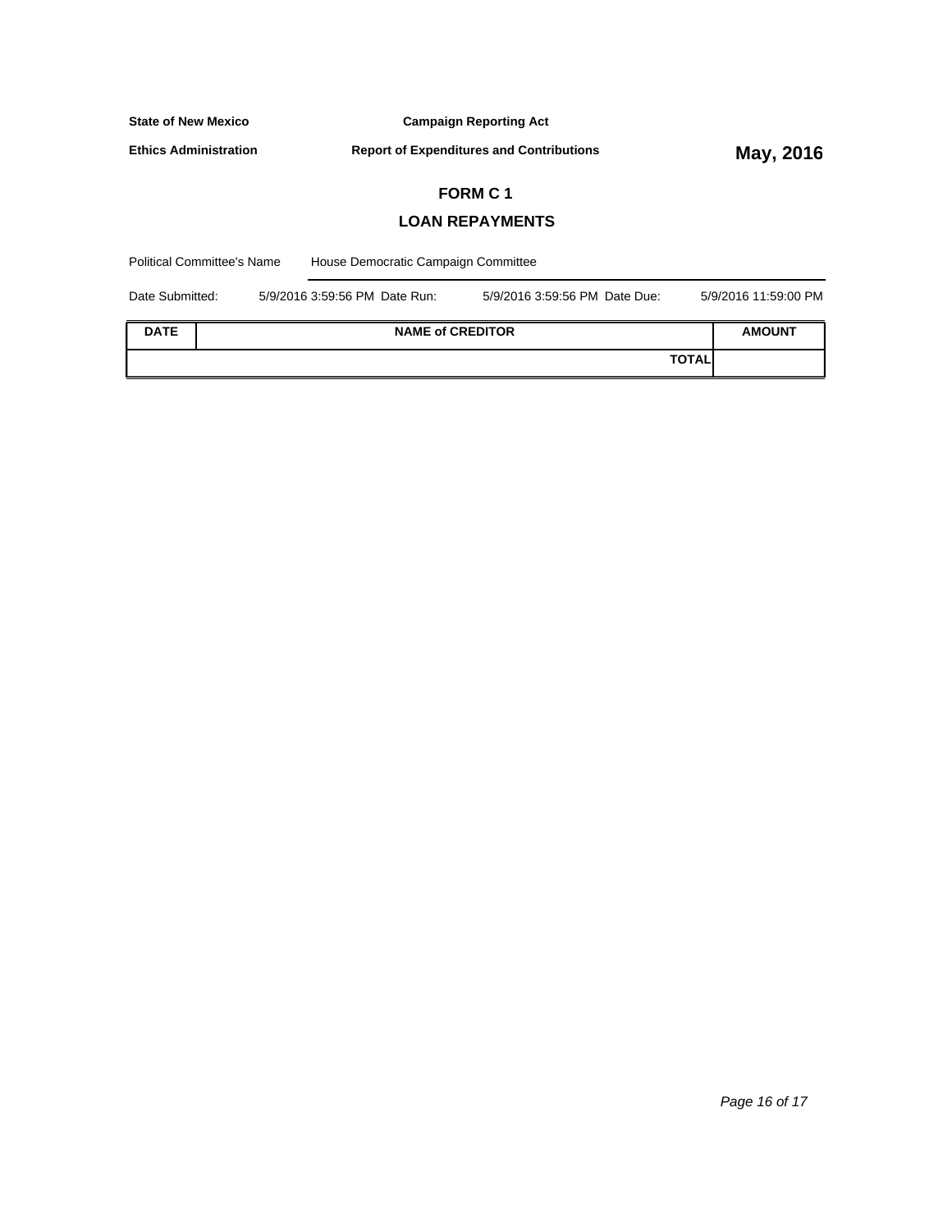**Ethics Administration**

**Report of Expenditures and Contributions May, 2016** 

# **FORM C 1**

# **LOAN REPAYMENTS**

| <b>Political Committee's Name</b> |  | House Democratic Campaign Committee |                               |              |                      |  |
|-----------------------------------|--|-------------------------------------|-------------------------------|--------------|----------------------|--|
| Date Submitted:                   |  | 5/9/2016 3:59:56 PM Date Run:       | 5/9/2016 3:59:56 PM Date Due: |              | 5/9/2016 11:59:00 PM |  |
| <b>DATE</b>                       |  | <b>NAME of CREDITOR</b>             |                               |              | <b>AMOUNT</b>        |  |
|                                   |  |                                     |                               | <b>TOTAL</b> |                      |  |